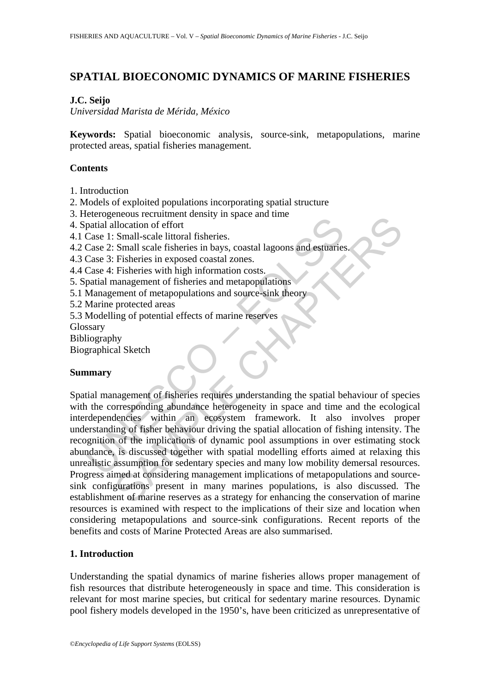# **SPATIAL BIOECONOMIC DYNAMICS OF MARINE FISHERIES**

# **J.C. Seijo**

*Universidad Marista de Mérida, México* 

**Keywords:** Spatial bioeconomic analysis, source-sink, metapopulations, marine protected areas, spatial fisheries management.

# **Contents**

1. Introduction

2. Models of exploited populations incorporating spatial structure

- 3. Heterogeneous recruitment density in space and time
- 4. Spatial allocation of effort
- 4.1 Case 1: Small-scale littoral fisheries.
- 4.2 Case 2: Small scale fisheries in bays, coastal lagoons and estuaries.
- 4.3 Case 3: Fisheries in exposed coastal zones.
- 4.4 Case 4: Fisheries with high information costs.
- 5. Spatial management of fisheries and metapopulations
- 5.1 Management of metapopulations and source-sink theory
- 5.2 Marine protected areas
- 5.3 Modelling of potential effects of marine reserves
- Glossary
- Bibliography

Biographical Sketch

# **Summary**

examplement consideration of effort<br>patial allocation of effort<br>Case 1: Small-scale littoral fisheries.<br>Case 2: Small scale fisheries in bays, coastal lagoons and estuaries<br>Case 3: Fisheries with high information costs.<br>pa Extending to the implication of effort<br>
Illocation of effort<br>
Small scale littoral fisheries in bays, coastal lagoons and estivaties.<br>
Small scale fisheries in axposed coastal zones.<br>
Fisheries with high information costs. Spatial management of fisheries requires understanding the spatial behaviour of species with the corresponding abundance heterogeneity in space and time and the ecological interdependencies within an ecosystem framework. It also involves proper understanding of fisher behaviour driving the spatial allocation of fishing intensity. The recognition of the implications of dynamic pool assumptions in over estimating stock abundance, is discussed together with spatial modelling efforts aimed at relaxing this unrealistic assumption for sedentary species and many low mobility demersal resources. Progress aimed at considering management implications of metapopulations and sourcesink configurations present in many marines populations, is also discussed. The establishment of marine reserves as a strategy for enhancing the conservation of marine resources is examined with respect to the implications of their size and location when considering metapopulations and source-sink configurations. Recent reports of the benefits and costs of Marine Protected Areas are also summarised.

# **1. Introduction**

Understanding the spatial dynamics of marine fisheries allows proper management of fish resources that distribute heterogeneously in space and time. This consideration is relevant for most marine species, but critical for sedentary marine resources. Dynamic pool fishery models developed in the 1950's, have been criticized as unrepresentative of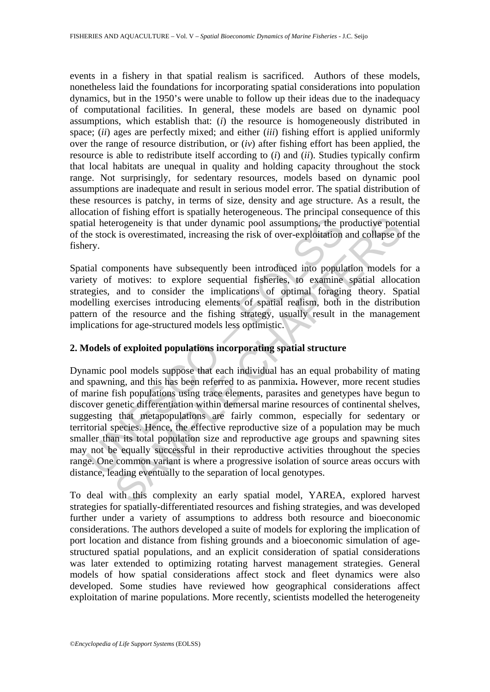events in a fishery in that spatial realism is sacrificed. Authors of these models, nonetheless laid the foundations for incorporating spatial considerations into population dynamics, but in the 1950's were unable to follow up their ideas due to the inadequacy of computational facilities. In general, these models are based on dynamic pool assumptions, which establish that: (*i*) the resource is homogeneously distributed in space; (*ii*) ages are perfectly mixed; and either (*iii*) fishing effort is applied uniformly over the range of resource distribution, or (*iv*) after fishing effort has been applied, the resource is able to redistribute itself according to (*i*) and (*ii*). Studies typically confirm that local habitats are unequal in quality and holding capacity throughout the stock range. Not surprisingly, for sedentary resources, models based on dynamic pool assumptions are inadequate and result in serious model error. The spatial distribution of these resources is patchy, in terms of size, density and age structure. As a result, the allocation of fishing effort is spatially heterogeneous. The principal consequence of this spatial heterogeneity is that under dynamic pool assumptions, the productive potential of the stock is overestimated, increasing the risk of over-exploitation and collapse of the fishery.

Spatial components have subsequently been introduced into population models for a variety of motives: to explore sequential fisheries, to examine spatial allocation strategies, and to consider the implications of optimal foraging theory. Spatial modelling exercises introducing elements of spatial realism, both in the distribution pattern of the resource and the fishing strategy, usually result in the management implications for age-structured models less optimistic.

# **2. Models of exploited populations incorporating spatial structure**

ial heterogeneity is that under dynamic pool assumptions, the p<br>ne stock is overestimated, increasing the risk of over-exploitation<br>ery.<br>Itial components have subsequently been introduced into populaty<br>of motives: to explo erogeneity is that under dynamic pool assumptions, the productive potential is overestimated, increasing the risk of over-exploitation and collapse of is overestimated, increasing the risk of over-exploitation and collapse Dynamic pool models suppose that each individual has an equal probability of mating and spawning, and this has been referred to as panmixia**.** However, more recent studies of marine fish populations using trace elements, parasites and genetypes have begun to discover genetic differentiation within demersal marine resources of continental shelves, suggesting that metapopulations are fairly common, especially for sedentary or territorial species. Hence, the effective reproductive size of a population may be much smaller than its total population size and reproductive age groups and spawning sites may not be equally successful in their reproductive activities throughout the species range. One common variant is where a progressive isolation of source areas occurs with distance, leading eventually to the separation of local genotypes.

To deal with this complexity an early spatial model, YAREA, explored harvest strategies for spatially-differentiated resources and fishing strategies, and was developed further under a variety of assumptions to address both resource and bioeconomic considerations. The authors developed a suite of models for exploring the implication of port location and distance from fishing grounds and a bioeconomic simulation of agestructured spatial populations, and an explicit consideration of spatial considerations was later extended to optimizing rotating harvest management strategies. General models of how spatial considerations affect stock and fleet dynamics were also developed. Some studies have reviewed how geographical considerations affect exploitation of marine populations. More recently, scientists modelled the heterogeneity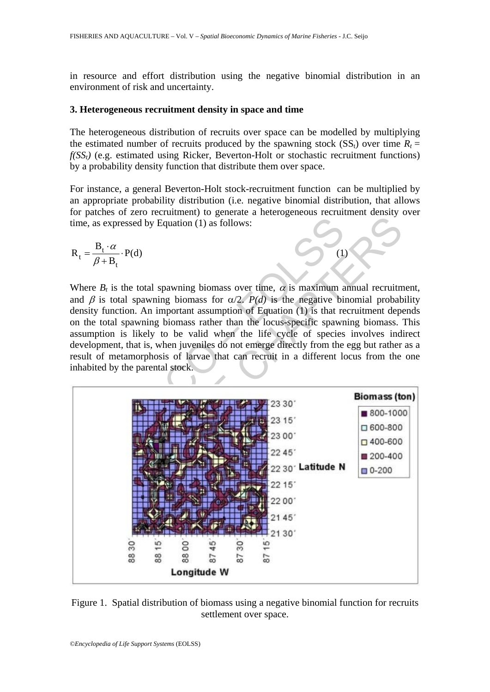in resource and effort distribution using the negative binomial distribution in an environment of risk and uncertainty.

#### **3. Heterogeneous recruitment density in space and time**

The heterogeneous distribution of recruits over space can be modelled by multiplying the estimated number of recruits produced by the spawning stock  $(SS_t)$  over time  $R_t =$  $f(SS<sub>t</sub>)$  (e.g. estimated using Ricker, Beverton-Holt or stochastic recruitment functions) by a probability density function that distribute them over space.

For instance, a general Beverton-Holt stock-recruitment function can be multiplied by an appropriate probability distribution (i.e. negative binomial distribution, that allows for patches of zero recruitment) to generate a heterogeneous recruitment density over time, as expressed by Equation (1) as follows:

$$
R_t = \frac{B_t \cdot \alpha}{\beta + B_t} \cdot P(d)
$$
 (1)

Where  $B_t$  is the total spawning biomass over time,  $\alpha$  is maximum annual recruitment, and  $\beta$  is total spawning biomass for  $\alpha/2$ . *P(d)* is the negative binomial probability density function. An important assumption of Equation (1) is that recruitment depends on the total spawning biomass rather than the locus-specific spawning biomass. This assumption is likely to be valid when the life cycle of species involves indirect development, that is, when juveniles do not emerge directly from the egg but rather as a result of metamorphosis of larvae that can recruit in a different locus from the one inhabited by the parental stock.



Figure 1. Spatial distribution of biomass using a negative binomial function for recruits settlement over space.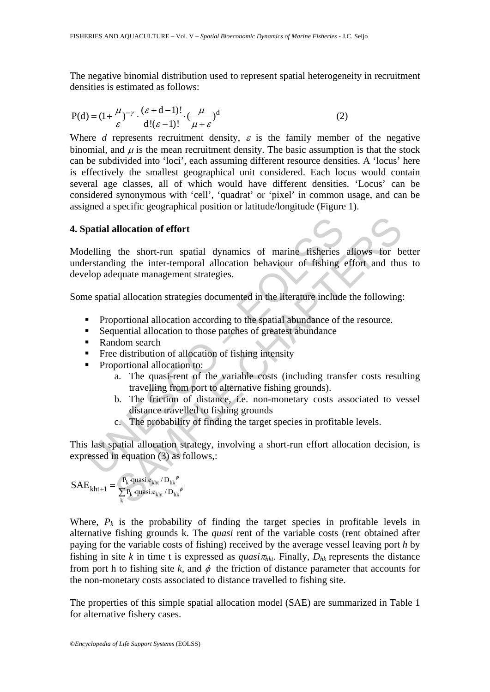The negative binomial distribution used to represent spatial heterogeneity in recruitment densities is estimated as follows:

$$
P(d) = (1 + \frac{\mu}{\varepsilon})^{-\gamma} \cdot \frac{(\varepsilon + d - 1)!}{d!(\varepsilon - 1)!} \cdot \left(\frac{\mu}{\mu + \varepsilon}\right)^d
$$
 (2)

Where *d* represents recruitment density,  $\varepsilon$  is the family member of the negative binomial, and  $\mu$  is the mean recruitment density. The basic assumption is that the stock can be subdivided into 'loci', each assuming different resource densities. A 'locus' here is effectively the smallest geographical unit considered. Each locus would contain several age classes, all of which would have different densities. 'Locus' can be considered synonymous with 'cell', 'quadrat' or 'pixel' in common usage, and can be assigned a specific geographical position or latitude/longitude (Figure 1).

# **4. Spatial allocation of effort**

**Solution 19 and Solution Control Control Control Control Conserved in equation 19 and Solution Strategies.**<br> **Experiment Strategies entity of Fishing elop adequate management strategies.**<br> **Experiment Strategies documente** allocation of effort<br>the short-run spatial dynamics of marine fisheries allows for b-<br>ing the inter-temporal allocation behaviour of fishing effort and thu<br>equate management strategies.<br>al allocation strategies documented Modelling the short-run spatial dynamics of marine fisheries allows for better understanding the inter-temporal allocation behaviour of fishing effort and thus to develop adequate management strategies.

Some spatial allocation strategies documented in the literature include the following:

- **Proportional allocation according to the spatial abundance of the resource.**
- Sequential allocation to those patches of greatest abundance
- Random search
- Free distribution of allocation of fishing intensity
- **Proportional allocation to:** 
	- a. The quasi-rent of the variable costs (including transfer costs resulting travelling from port to alternative fishing grounds).
	- b. The friction of distance, i.e. non-monetary costs associated to vessel distance travelled to fishing grounds
	- c. The probability of finding the target species in profitable levels.

This last spatial allocation strategy, involving a short-run effort allocation decision, is expressed in equation (3) as follows,:

$$
SAE_{kht+1}=\frac{P_k\cdot quasi\pi_{kht}\mathop{/}D_{hk}^{\phi}}{\sum\limits_{k}P_k\cdot quasi\pi_{kht}\mathop{/}D_{hk}^{\phi}}
$$

Where,  $P_k$  is the probability of finding the target species in profitable levels in alternative fishing grounds k. The *quasi* rent of the variable costs (rent obtained after paying for the variable costs of fishing) received by the average vessel leaving port *h* by fishing in site *k* in time t is expressed as *quasi* $\pi_{hkt}$ . Finally,  $D_{hk}$  represents the distance from port h to fishing site k, and  $\phi$  the friction of distance parameter that accounts for the non-monetary costs associated to distance travelled to fishing site.

The properties of this simple spatial allocation model (SAE) are summarized in Table 1 for alternative fishery cases.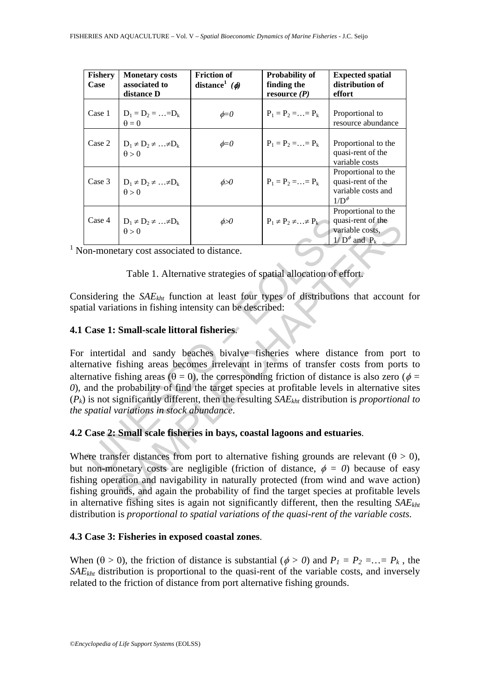| <b>Fishery</b><br>Case | <b>Monetary costs</b><br>associated to<br>distance D | Friction of<br>distance <sup>1</sup> ( $\phi$ ) | Probability of<br>finding the<br>resource $(P)$ | <b>Expected spatial</b><br>distribution of<br>effort                                  |
|------------------------|------------------------------------------------------|-------------------------------------------------|-------------------------------------------------|---------------------------------------------------------------------------------------|
| Case 1                 | $D_1 = D_2 =  = D_k$<br>$\theta = 0$                 | $\phi = 0$                                      | $P_1 = P_2 =  = P_k$                            | Proportional to<br>resource abundance                                                 |
| Case 2                 | $D_1 \neq D_2 \neq  \neq D_k$<br>$\theta > 0$        | $\phi = 0$                                      | $P_1 = P_2 = \ldots = P_k$                      | Proportional to the<br>quasi-rent of the<br>variable costs                            |
| Case 3                 | $D_1 \neq D_2 \neq  \neq D_k$<br>$\theta > 0$        | $\phi \!\!\! > \!\!\! 0$                        | $P_1 = P_2 = \ldots = P_k$                      | Proportional to the<br>quasi-rent of the<br>variable costs and<br>$1/D^{\phi}$        |
| Case 4                 | $D_1 \neq D_2 \neq  \neq D_k$<br>$\vec{\theta} > 0$  | øЮ                                              | $P_1 \neq P_2 \neq  \neq P_k$                   | Proportional to the<br>quasi-rent of the<br>variable costs.<br>$1/D^{\phi}$ and $P_k$ |

<sup>1</sup> Non-monetary cost associated to distance.

# Table 1. Alternative strategies of spatial allocation of effort.

Considering the *SAEkht* function at least four types of distributions that account for spatial variations in fishing intensity can be described:

# **4.1 Case 1: Small-scale littoral fisheries**.

Case 4  $D_1 \neq D_2 \neq ... \neq D_k$   $\phi > 0$   $P_1 \neq P_2 \neq ... \neq P_k$  qua<br>
on-monetary cost associated to distance.<br>
Table 1. Alternative strategies of spatial allocation of el<br>
sidering the *SAE<sub>kht</sub>* function at least four types of  $\begin{array}{|l|l|}\nD_1 \neq D_2 \neq ... \neq D_k & P_1 \neq P_2 \neq ... \neq P_k & \text{quasi-rent of the variable costs, } \downarrow/D^s \text{ and } P_k & \text{variable costs}\n\end{array}$ <br>
Extray cost associated to distance.<br>
Table 1. Alternative strategies of spatial allocation of effort is  $\begin{array}{|l|} \downarrow/D^s \text{ and } P_k &$ For intertidal and sandy beaches bivalve fisheries where distance from port to alternative fishing areas becomes irrelevant in terms of transfer costs from ports to alternative fishing areas ( $\theta = 0$ ), the corresponding friction of distance is also zero ( $\phi =$ *0*), and the probability of find the target species at profitable levels in alternative sites  $(P_k)$  is not significantly different, then the resulting *SAE<sub>kht</sub>* distribution is *proportional to the spatial variations in stock abundance*.

# **4.2 Case 2: Small scale fisheries in bays, coastal lagoons and estuaries**.

Where transfer distances from port to alternative fishing grounds are relevant ( $\theta > 0$ ), but non-monetary costs are negligible (friction of distance,  $\phi = 0$ ) because of easy fishing operation and navigability in naturally protected (from wind and wave action) fishing grounds, and again the probability of find the target species at profitable levels in alternative fishing sites is again not significantly different, then the resulting *SAEkht* distribution is *proportional to spatial variations of the quasi-rent of the variable costs.* 

# **4.3 Case 3: Fisheries in exposed coastal zones**.

When ( $\theta > 0$ ), the friction of distance is substantial ( $\phi > 0$ ) and  $P_1 = P_2 = ... = P_k$ , the *SAEkht* distribution is proportional to the quasi-rent of the variable costs, and inversely related to the friction of distance from port alternative fishing grounds.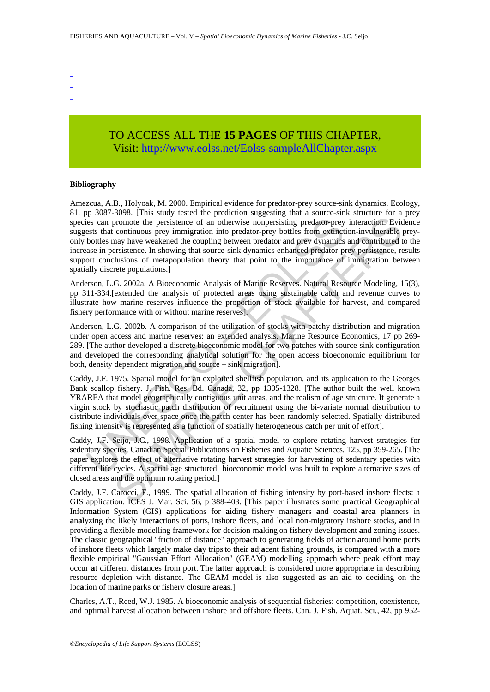- -
- -
- -

# TO ACCESS ALL THE **15 PAGES** OF THIS CHAPTER, Visi[t: http://www.eolss.net/Eolss-sampleAllChapter.aspx](https://www.eolss.net/ebooklib/sc_cart.aspx?File=E5-05-05-03)

#### **Bibliography**

is can promote the persistence of an otherwise nonpersisting predator-prey<br>ests that continuous prey immigration into predator-prey bottles from extinct<br>bottles may have weakened the coupling between predator-prey bottles From the may extere a continuous and the persisting prediator and the persistence of an otherwise nonpersisting prediator-prey interaction. Evidenty and the continuous prey imigration into prediator-prey baths from extinct Amezcua, A.B., Holyoak, M. 2000. Empirical evidence for predator-prey source-sink dynamics. Ecology, 81, pp 3087-3098. [This study tested the prediction suggesting that a source-sink structure for a prey species can promote the persistence of an otherwise nonpersisting predator-prey interaction. Evidence suggests that continuous prey immigration into predator-prey bottles from extinction-invulnerable preyonly bottles may have weakened the coupling between predator and prey dynamics and contributed to the increase in persistence. In showing that source-sink dynamics enhanced predator-prey persistence, results support conclusions of metapopulation theory that point to the importance of immigration between spatially discrete populations.]

Anderson, L.G. 2002a. A Bioeconomic Analysis of Marine Reserves. Natural Resource Modeling, 15(3), pp 311-334.[extended the analysis of protected areas using sustainable catch and revenue curves to illustrate how marine reserves influence the proportion of stock available for harvest, and compared fishery performance with or without marine reserves].

Anderson, L.G. 2002b. A comparison of the utilization of stocks with patchy distribution and migration under open access and marine reserves: an extended analysis. Marine Resource Economics*,* 17 pp 269- 289. [The author developed a discrete bioeconomic model for two patches with source-sink configuration and developed the corresponding analytical solution for the open access bioeconomic equilibrium for both, density dependent migration and source – sink migration].

Caddy, J.F. 1975. Spatial model for an exploited shellfish population, and its application to the Georges Bank scallop fishery. J. Fish. Res. Bd. Canada*,* 32, pp 1305-1328. [The author built the well known YRAREA that model geographically contiguous unit areas, and the realism of age structure. It generate a virgin stock by stochastic patch distribution of recruitment using the bi-variate normal distribution to distribute individuals over space once the patch center has been randomly selected. Spatially distributed fishing intensity is represented as a function of spatially heterogeneous catch per unit of effort].

Caddy, J.F. Seijo, J.C., 1998. Application of a spatial model to explore rotating harvest strategies for sedentary species. Canadian Special Publications on Fisheries and Aquatic Sciences, 125, pp 359-265. [The paper explores the effect of alternative rotating harvest strategies for harvesting of sedentary species with different life cycles. A spatial age structured bioeconomic model was built to explore alternative sizes of closed areas and the optimum rotating period.]

Caddy, J.F. Carocci, F., 1999. The spatial allocation of fishing intensity by port-based inshore fleets: a GIS application. ICES J. Mar. Sci. 56, p 388-403. [This p**a**per illustr**a**tes some pr**a**ctic**a**l Geogr**a**phic**a**l Inform**a**tion System (GIS) **a**pplications for **a**iding fishery m**a**n**a**gers **a**nd co**a**st**a**l **a**re**a** pl**a**nners in **a**n**a**lyzing the likely inter**a**ctions of ports, inshore fleets, **a**nd loc**a**l non-migr**a**tory inshore stocks, **a**nd in providing a flexible modelling fr**a**mework for decision m**a**king on fishery development **a**nd zoning issues. The cl**a**ssic geogr**a**phic**a**l "friction of dist**a**nce" **a**ppro**a**ch to gener**a**ting fields of action **a**round home ports of inshore fleets which l**a**rgely m**a**ke d**a**y tripsto their **a**dj**a**cent fishing grounds, is comp**a**red with **a** more flexible empiric**a**l "G**a**ussi**a**n Effort Alloc**a**tion" (GEAM) modelling appro**a**ch where pe**a**k effor**t** m**a**y occur **a**t different dist**a**nces from port. The l**a**tter **a**ppro**a**ch is considered more **a**ppropri**a**te in describing resource depletion with dist**a**nce. The GEAM model is also suggested **a**s **a**n aid to deciding on the loc**a**tion of m**a**rine p**a**rks or fishery closure **a**re**a**s.]

Charles, A.T., Reed, W.J. 1985. A bioeconomic analysis of sequential fisheries: competition, coexistence, and optimal harvest allocation between inshore and offshore fleets. Can. J. Fish. Aquat. Sci*.,* 42, pp 952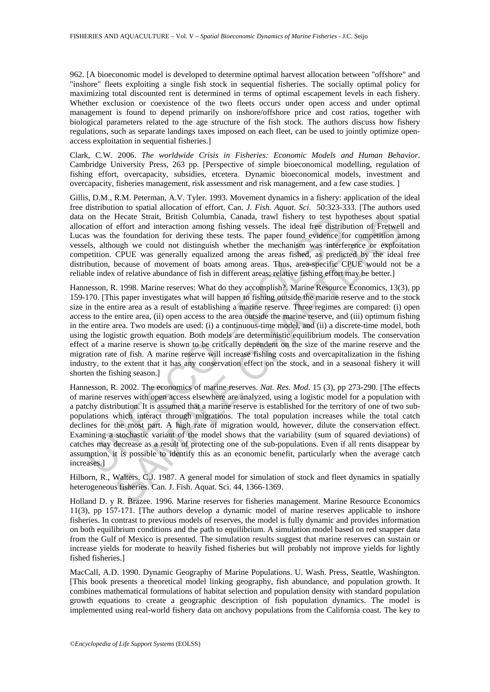962. [A bioeconomic model is developed to determine optimal harvest allocation between "offshore" and "inshore" fleets exploiting a single fish stock in sequential fisheries. The socially optimal policy for maximizing total discounted rent is determined in terms of optimal escapement levels in each fishery. Whether exclusion or coexistence of the two fleets occurs under open access and under optimal management is found to depend primarily on inshore/offshore price and cost ratios, together with biological parameters related to the age structure of the fish stock. The authors discuss how fishery regulations, such as separate landings taxes imposed on each fleet, can be used to jointly optimize openaccess exploitation in sequential fisheries.]

Clark, C.W. 2006. *The worldwide Crisis in Fisheries: Economic Models and Human Behavior*. Cambridge University Press, 263 pp. [Perspective of simple bioeconomical modelling, regulation of fishing effort, overcapacity, subsidies, etcetera. Dynamic bioeconomical models, investment and overcapacity, fisheries management, risk assessment and risk management, and a few case studies. ]

Gillis, D.M., R.M. Peterman, A.V. Tyler. 1993. Movement dynamics in a fishery: application of the ideal free distribution to spatial allocation of effort. Can. *J. Fish. Aquat. Sci*. 50:323-333. [The authors used data on the Hecate Strait, British Columbia, Canada, trawl fishery to test hypotheses about spatial allocation of effort and interaction among fishing vessels. The ideal free distribution of Fretwell and Lucas was the foundation for deriving these tests. The paper found evidence for competition among vessels, although we could not distinguish whether the mechanism was interference or exploitation competition. CPUE was generally equalized among the areas fished, as predicted by the ideal free distribution, because of movement of boats among areas. Thus, area-specific CPUE would not be a reliable index of relative abundance of fish in different areas; relative fishing effort may be better.]

on the Heacate Stratt, British Columbia, Canada, traw itstiery to test hyperation of effort and interaction among fishing vessels. The ideal free distribution of eincludinal recent of derivation for derivation for derivat Heads Strait, British Columbia, Canada, trawl fishery to test hypotheses about spiece<br>effort and interaction among fishing vessels. The ideal free distribution of Fretwelle<br>he foundation for deriving these tests. The pape Hannesson, R. 1998. Marine reserves: What do they accomplish?. Marine Resource Economics*,* 13(3), pp 159-170. [This paper investigates what will happen to fishing outside the marine reserve and to the stock size in the entire area as a result of establishing a marine reserve. Three regimes are compared: (i) open access to the entire area, (ii) open access to the area outside the marine reserve, and (iii) optimum fishing in the entire area. Two models are used: (i) a continuous-time model, and (ii) a discrete-time model, both using the logistic growth equation. Both models are deterministic equilibrium models. The conservation effect of a marine reserve is shown to be critically dependent on the size of the marine reserve and the migration rate of fish. A marine reserve will increase fishing costs and overcapitalization in the fishing industry, to the extent that it has any conservation effect on the stock, and in a seasonal fishery it will shorten the fishing season.]

Hannesson, R. 2002. The economics of marine reserves. *Nat. Res. Mod*. 15 (3), pp 273-290. [The effects of marine reserves with open access elsewhere are analyzed, using a logistic model for a population with a patchy distribution. It is assumed that a marine reserve is established for the territory of one of two subpopulations which interact through migrations. The total population increases while the total catch declines for the most part. A high rate of migration would, however, dilute the conservation effect. Examining a stochastic variant of the model shows that the variability (sum of squared deviations) of catches may decrease as a result of protecting one of the sub-populations. Even if all rents disappear by assumption, it is possible to identify this as an economic benefit, particularly when the average catch increases.]

Hilborn, R., Walters, C.J. 1987. A general model for simulation of stock and fleet dynamics in spatially heterogeneous fisheries. Can. J. Fish. Aquat. Sci. 44, 1366-1369.

Holland D. y R. Brazee. 1996. Marine reserves for fisheries management. Marine Resource Economics 11(3), pp 157-171. [The authors develop a dynamic model of marine reserves applicable to inshore fisheries. In contrast to previous models of reserves, the model is fully dynamic and provides information on both equilibrium conditions and the path to equilibrium. A simulation model based on red snapper data from the Gulf of Mexico is presented. The simulation results suggest that marine reserves can sustain or increase yields for moderate to heavily fished fisheries but will probably not improve yields for lightly fished fisheries.]

MacCall, A.D. 1990. Dynamic Geography of Marine Populations. U. Wash. Press, Seattle, Washington. [This book presents a theoretical model linking geography, fish abundance, and population growth. It combines mathematical formulations of habitat selection and population density with standard population growth equations to create a geographic description of fish population dynamics. The model is implemented using real-world fishery data on anchovy populations from the California coast. The key to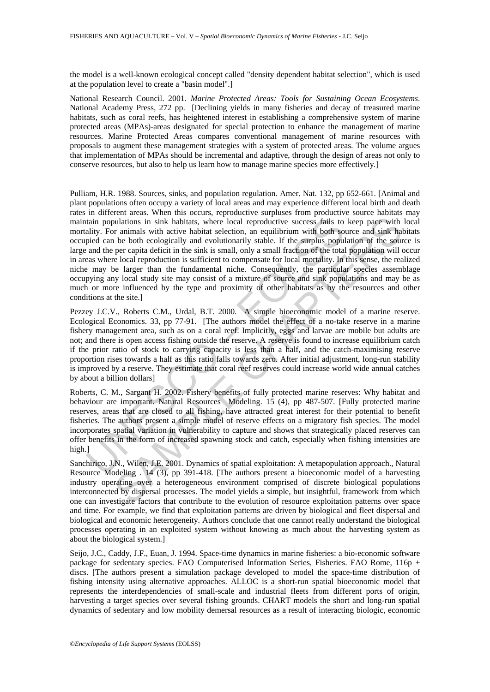the model is a well-known ecological concept called "density dependent habitat selection", which is used at the population level to create a "basin model".]

National Research Council. 2001. *Marine Protected Areas: Tools for Sustaining Ocean Ecosystems*. National Academy Press, 272 pp. [Declining yields in many fisheries and decay of treasured marine habitats, such as coral reefs, has heightened interest in establishing a comprehensive system of marine protected areas (MPAs)-areas designated for special protection to enhance the management of marine resources. Marine Protected Areas compares conventional management of marine resources with proposals to augment these management strategies with a system of protected areas. The volume argues that implementation of MPAs should be incremental and adaptive, through the design of areas not only to conserve resources, but also to help us learn how to manage marine species more effectively*.*]

tain populations in sink habitats, where local reproductive success fails to<br>alive. For animals with active habitat selection, an equilibrium with both so<br>pied can be both ecologically and evolutionarily stable. If the sur bulations in sink habitats, where local reproductive success fails to keep pace with<br>nulations in sink habitats, where local reproductive success fails to keep pace with<br>nulations in sink habitats, where local reproductive Pulliam, H.R. 1988. Sources, sinks, and population regulation. Amer. Nat. 132, pp 652-661. [Animal and plant populations often occupy a variety of local areas and may experience different local birth and death rates in different areas. When this occurs, reproductive surpluses from productive source habitats may maintain populations in sink habitats, where local reproductive success fails to keep pace with local mortality. For animals with active habitat selection, an equilibrium with both source and sink habitats occupied can be both ecologically and evolutionarily stable. If the surplus population of the source is large and the per capita deficit in the sink is small, only a small fraction of the total population will occur in areas where local reproduction is sufficient to compensate for local mortality. In this sense, the realized niche may be larger than the fundamental niche. Consequently, the particular species assemblage occupying any local study site may consist of a mixture of source and sink populations and may be as much or more influenced by the type and proximity of other habitats as by the resources and other conditions at the site.]

Pezzey J.C.V., Roberts C.M., Urdal, B.T. 2000. A simple bioeconomic model of a marine reserve. Ecological Economics. 33, pp 77-91. [The authors model the effect of a no-take reserve in a marine fishery management area, such as on a coral reef. Implicitly, eggs and larvae are mobile but adults are not; and there is open access fishing outside the reserve. A reserve is found to increase equilibrium catch if the prior ratio of stock to carrying capacity is less than a half, and the catch-maximising reserve proportion rises towards a half as this ratio falls towards zero. After initial adjustment, long-run stability is improved by a reserve. They estimate that coral reef reserves could increase world wide annual catches by about a billion dollars]

Roberts, C. M., Sargant H. 2002. Fishery benefits of fully protected marine reserves: Why habitat and behaviour are important. Natural Resources Modeling. 15 (4), pp 487-507. [Fully protected marine reserves, areas that are closed to all fishing, have attracted great interest for their potential to benefit fisheries. The authors present a simple model of reserve effects on a migratory fish species. The model incorporates spatial variation in vulnerability to capture and shows that strategically placed reserves can offer benefits in the form of increased spawning stock and catch, especially when fishing intensities are high.]

Sanchirico, J.N., Wilen, J.E. 2001. Dynamics of spatial exploitation: A metapopulation approach., Natural Resource Modeling . 14 (3), pp 391-418. [The authors present a bioeconomic model of a harvesting industry operating over a heterogeneous environment comprised of discrete biological populations interconnected by dispersal processes. The model yields a simple, but insightful, framework from which one can investigate factors that contribute to the evolution of resource exploitation patterns over space and time. For example, we find that exploitation patterns are driven by biological and fleet dispersal and biological and economic heterogeneity. Authors conclude that one cannot really understand the biological processes operating in an exploited system without knowing as much about the harvesting system as about the biological system.]

Seijo, J.C., Caddy, J.F., Euan, J. 1994. Space-time dynamics in marine fisheries: a bio-economic software package for sedentary species. FAO Computerised Information Series, Fisheries, FAO Rome, 116p + discs. [The authors present a simulation package developed to model the space-time distribution of fishing intensity using alternative approaches. ALLOC is a short-run spatial bioeconomic model that represents the interdependencies of small-scale and industrial fleets from different ports of origin, harvesting a target species over several fishing grounds. CHART models the short and long-run spatial dynamics of sedentary and low mobility demersal resources as a result of interacting biologic, economic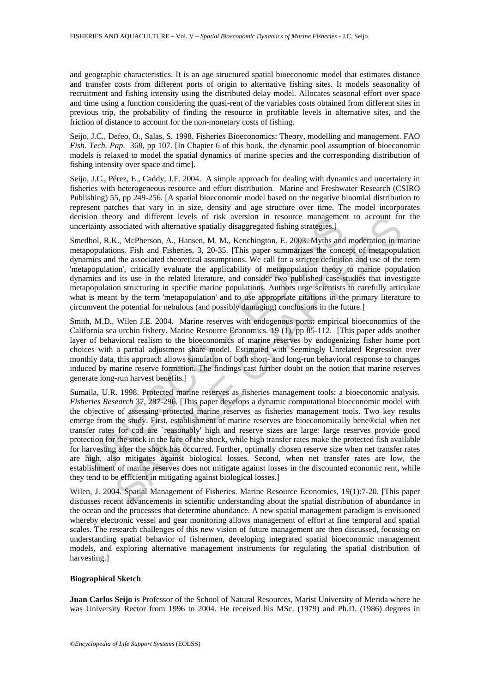and geographic characteristics. It is an age structured spatial bioeconomic model that estimates distance and transfer costs from different ports of origin to alternative fishing sites. It models seasonality of recruitment and fishing intensity using the distributed delay model. Allocates seasonal effort over space and time using a function considering the quasi-rent of the variables costs obtained from different sites in previous trip, the probability of finding the resource in profitable levels in alternative sites, and the friction of distance to account for the non-monetary costs of fishing.

Seijo, J.C., Defeo, O., Salas, S. 1998. Fisheries Bioeconomics: Theory, modelling and management. FAO *Fish. Tech. Pap*. 368, pp 107. [In Chapter 6 of this book, the dynamic pool assumption of bioeconomic models is relaxed to model the spatial dynamics of marine species and the corresponding distribution of fishing intensity over space and time].

Seijo, J.C., Pérez, E., Caddy, J.F. 2004. A simple approach for dealing with dynamics and uncertainty in fisheries with heterogeneous resource and effort distribution. Marine and Freshwater Research (CSIRO Publishing) 55, pp 249-256. [A spatial bioeconomic model based on the negative binomial distribution to represent patches that vary in in size, density and age structure over time. The model incorporates decision theory and different levels of risk aversion in resource management to account for the uncertainty associated with alternative spatially disaggregated fishing strategies.]

Smedbol, R.K., McPherson, A., Hansen, M. M., Kenchington, E. 2003. Myths and moderation in marine metapopulations. Fish and Fisheries, 3, 20-35. [This paper summarizes the concept of metapopulation dynamics and the associated theoretical assumptions. We call for a stricter definition and use of the term 'metapopulation', critically evaluate the applicability of metapopulation theory to marine population dynamics and its use in the related literature, and consider two published case-studies that investigate metapopulation structuring in specific marine populations. Authors urge scientists to carefully articulate what is meant by the term 'metapopulation' and to use appropriate citations in the primary literature to circumvent the potential for nebulous (and possibly damaging) conclusions in the future.]

Smith, M.D., Wilen J.E. 2004. Marine reserves with endogenous ports: empirical bioeconomics of the California sea urchin fishery. Marine Resource Economics. 19 (1), pp 85-112. [This paper adds another layer of behavioral realism to the bioeconomics of marine reserves by endogenizing fisher home port choices with a partial adjustment share model. Estimated with Seemingly Unrelated Regression over monthly data, this approach allows simulation of both short- and long-run behavioral response to changes induced by marine reserve formation. The findings cast further doubt on the notion that marine reserves generate long-run harvest benefits.]

ion thorous different levels of risk aversion in resource management<br>trainty associated with alternative spatially disaggregated fishing strategies.]<br>
abol, R.K., McPherson, A., Hansen, M. M., Kenchington, E. 2003. Myths a by and different levels of risk aversion in resource management to account for<br>sysociated with alternat levels of risk aversion in resource management to account to<br>Sysociated with alternative spatially disagregated fishi Sumaila, U.R. 1998. Protected marine reserves as fisheries management tools: a bioeconomic analysis. *Fisheries Research* 37, 287-296. [This paper develops a dynamic computational bioeconomic model with the objective of assessing protected marine reserves as fisheries management tools. Two key results emerge from the study. First, establishment of marine reserves are bioeconomically bene®cial when net transfer rates for cod are `reasonably' high and reserve sizes are large: large reserves provide good protection for the stock in the face of the shock, while high transfer rates make the protected fish available for harvesting after the shock has occurred. Further, optimally chosen reserve size when net transfer rates are high, also mitigates against biological losses. Second, when net transfer rates are low, the establishment of marine reserves does not mitigate against losses in the discounted economic rent, while they tend to be efficient in mitigating against biological losses.]

Wilen, J. 2004. Spatial Management of Fisheries. Marine Resource Economics, 19(1):7-20. [This paper discusses recent advancements in scientific understanding about the spatial distribution of abundance in the ocean and the processes that determine abundance. A new spatial management paradigm is envisioned whereby electronic vessel and gear monitoring allows management of effort at fine temporal and spatial scales. The research challenges of this new vision of future management are then discussed, focusing on understanding spatial behavior of fishermen, developing integrated spatial bioeconomic management models, and exploring alternative management instruments for regulating the spatial distribution of harvesting.]

#### **Biographical Sketch**

**Juan Carlos Seijo** is Professor of the School of Natural Resources, Marist University of Merida where he was University Rector from 1996 to 2004. He received his MSc. (1979) and Ph.D. (1986) degrees in